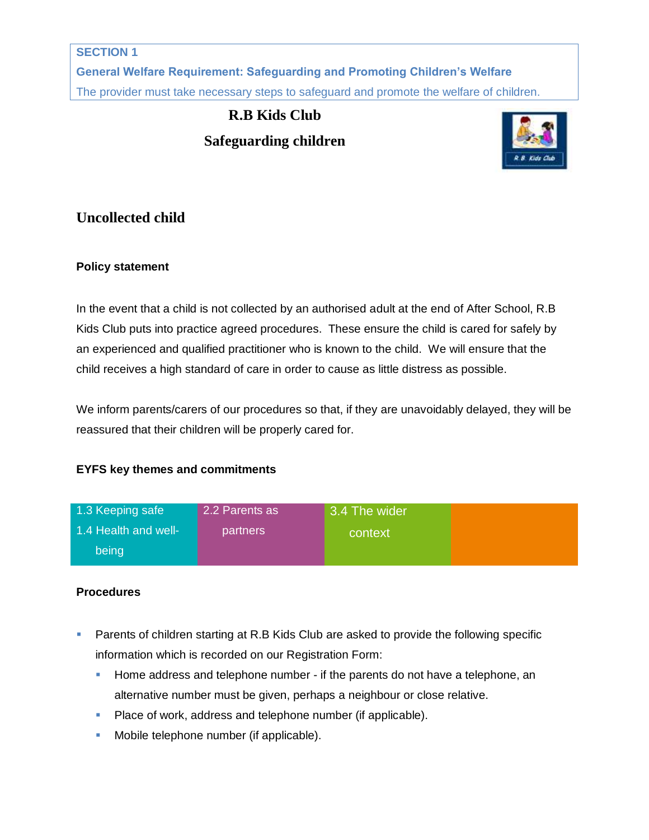#### **SECTION 1**

**General Welfare Requirement: Safeguarding and Promoting Children's Welfare** The provider must take necessary steps to safeguard and promote the welfare of children.

# **R.B Kids Club Safeguarding children**



## **Uncollected child**

### **Policy statement**

In the event that a child is not collected by an authorised adult at the end of After School, R.B Kids Club puts into practice agreed procedures. These ensure the child is cared for safely by an experienced and qualified practitioner who is known to the child. We will ensure that the child receives a high standard of care in order to cause as little distress as possible.

We inform parents/carers of our procedures so that, if they are unavoidably delayed, they will be reassured that their children will be properly cared for.

### **EYFS key themes and commitments**

| 1.3 Keeping safe     | 2.2 Parents as  | 3.4 The wider |  |
|----------------------|-----------------|---------------|--|
| 1.4 Health and well- | <b>partners</b> | context       |  |
| being                |                 |               |  |

### **Procedures**

- **Parents of children starting at R.B Kids Club are asked to provide the following specific** information which is recorded on our Registration Form:
	- Home address and telephone number if the parents do not have a telephone, an alternative number must be given, perhaps a neighbour or close relative.
	- Place of work, address and telephone number (if applicable).
	- **Mobile telephone number (if applicable).**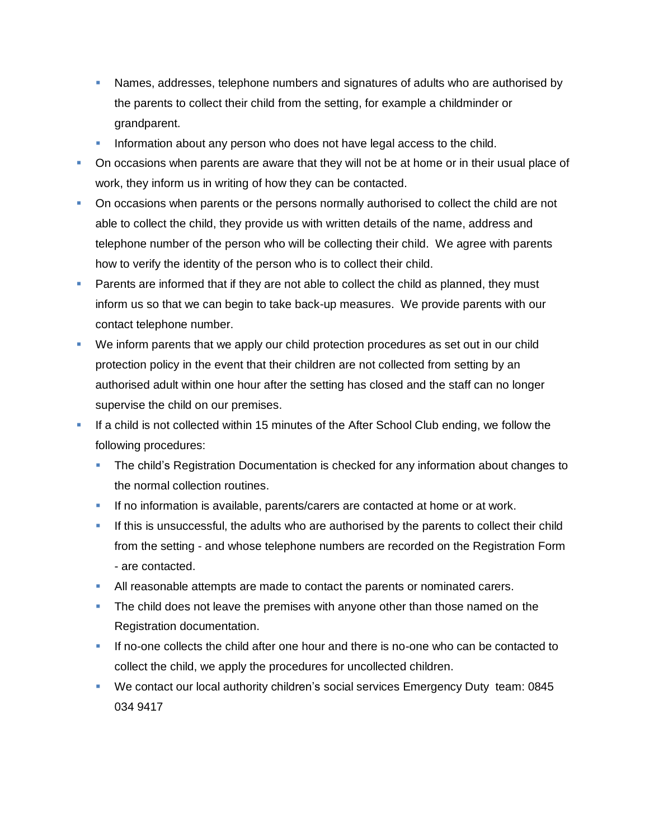- Names, addresses, telephone numbers and signatures of adults who are authorised by the parents to collect their child from the setting, for example a childminder or grandparent.
- Information about any person who does not have legal access to the child.
- On occasions when parents are aware that they will not be at home or in their usual place of work, they inform us in writing of how they can be contacted.
- On occasions when parents or the persons normally authorised to collect the child are not able to collect the child, they provide us with written details of the name, address and telephone number of the person who will be collecting their child. We agree with parents how to verify the identity of the person who is to collect their child.
- Parents are informed that if they are not able to collect the child as planned, they must inform us so that we can begin to take back-up measures. We provide parents with our contact telephone number.
- We inform parents that we apply our child protection procedures as set out in our child protection policy in the event that their children are not collected from setting by an authorised adult within one hour after the setting has closed and the staff can no longer supervise the child on our premises.
- If a child is not collected within 15 minutes of the After School Club ending, we follow the following procedures:
	- **The child's Registration Documentation is checked for any information about changes to** the normal collection routines.
	- If no information is available, parents/carers are contacted at home or at work.
	- If this is unsuccessful, the adults who are authorised by the parents to collect their child from the setting - and whose telephone numbers are recorded on the Registration Form - are contacted.
	- All reasonable attempts are made to contact the parents or nominated carers.
	- The child does not leave the premises with anyone other than those named on the Registration documentation.
	- If no-one collects the child after one hour and there is no-one who can be contacted to collect the child, we apply the procedures for uncollected children.
	- We contact our local authority children's social services Emergency Duty team: 0845 034 9417